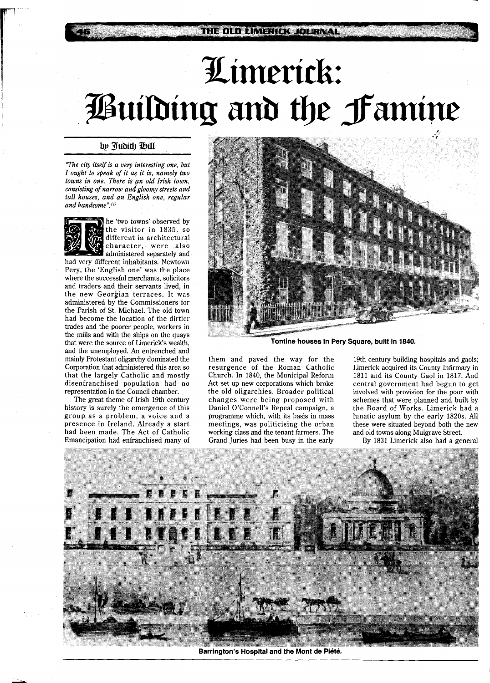## Limerick: Building and the Famine

## by Tudith Hill

*"The city itself is a very interesting one, but I ought to speak of it as it is, namely two towns in one. There* **is** *pn old Irish town, consisting of narrow and gloomy streets and tall houses, and an English one, regular*  and handsome".<sup>(1)</sup>



he 'two towns' observed by the visitor in 1835, so different in architectural character, were also administered separately and

had very different inhabitants. Newtown Pery, the 'English one' was the place where the successful merchants, solicitors and traders and their servants lived, in the new Georgian terraces. It was administered by the Commissioners for the Parish of St. Michael. The old town had become the location of the dirtier trades and the poorer people, workers in the mills and with the ships on the quays that were the source of Limerick's wealth, and the unemployed. An entrenched and mainly Protestant oligarchy dominated the Corporation that administered this area so that the largely Catholic and mostly disenfranchised population had no representation in the Council chamber.

The great theme of Irish 19th century history is surely the emergence of this group as a problem, a voice and a presence in Ireland. Already a start had been made. The Act of Catholic Emancipation had enfranchised many of



**Tontine houses in Pery Square, built in 1840.** 

them and paved the way for the resurgence of the Roman Catholic Church. In 1840, the Municipal Reform Act set up new corporations which broke the old oligarchies. Broader political changes were being proposed with Daniel O'Connell's Repeal campaign, a programme which, with its basis in mass meetings, was politicising the urban working class and the tenant farmers. The Grand Juries had been busy in the early

19th century building hospitals and gaols; Limerick acquired its County Infirmary in 1811 and its County Gaol in 1817. And central government had begun to get involved with provision for the poor with schemes that were planned and built by the Board of Works. Limerick had a lunatic asylum by the early 1820s. All these were situated beyond both the new and old towns along Mulgrave Street.

By 1831 Limerick also had a general



Barrington's Hospital and the Mont de Piété.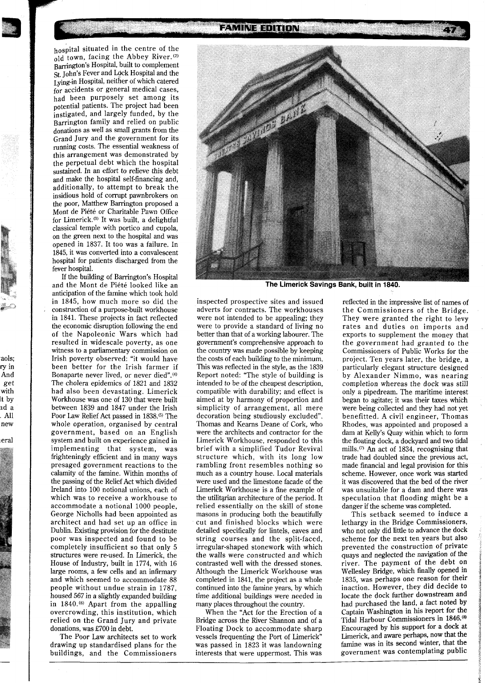**FAMINE EDITION** 

hospital situated in the centre of the  $\overline{old}$  town, facing the Abbey River.<sup>(2)</sup> Barrington's Hospital, built to complement St. John's Fever and Lock Hospital and the Lying-in Hospital, neither of which catered for accidents or general medical cases, had been purposely set among its potential patients. The project had been instigated, and largely funded, by the Barrington family and relied on public donations as well as small grants from the Grand Jury and the government for its running costs. The essential weakness of this arrangement was demonstrated by the perpetual debt which the hospital sustained. In an effort to relieve this debt and make the hospital self-financing and, additionally, to attempt to break the insidious hold of corrupt pawnbrokers on the poor, Matthew Barrington proposed a Mont de Piete or Charitable Pawn Office for Limerick.<sup>(3)</sup> It was built, a delightful classical temple with portico and cupola, on the green next to the hospital and was opened in 1837. It too was a failure. In 1845, it was converted into a convalescent hospital for patients discharged from the fever hospital.

If the building of Barrington's Hospital and the Mont de Piete looked like an anticipation of the famine which took hold in 1845, how much more so did the **<sup>a</sup>**construction of a purpose-built workhouse in 1841. These projects in fact reflected the economic disruption following the end of the Napoleonic Wars which had resulted in widescale poverty, as one witness to a parliamentary commission on Irish poverty observed: "it would have been better for the Irish farmer if Bonaparte never lived, or never died".<sup>(4)</sup> The cholera epidemics of 1821 and 1832 had also been devastating. Limerick Workhouse was one of 130 that were built between 1839 and 1847 under the Irish Poor Law Relief Act passed in 1838.<sup>(5)</sup> The whole operation, organised by central government, based on an English system and built on experience gained in implementing that system, was frighteningly efficient and in many ways presaged government reactions to the calamity of the famine. Within months of the passing of the Relief Act which divided Ireland into 100 notional unions, each of which was to receive a workhouse to accommodate a notional 1000 people, George Nicholls had been appointed as architect and had set up an office in Dublin. Existing provision for the destitute poor was inspected and found to be completely insufficient so that only 5 structures were re-used. In Limerick, the House of Industry, built in 1774, with 16 large rooms, a few cells and an infirmary and which seemed to accommodate 88 people without undue strain in 1787, housed 567 in a slightly expanded building in 1840.<sup>(6)</sup> Apart from the appalling overcrowding, this institution, which relied on the Grand Jury and private donations, was E700 in debt.

aols; ry in And get with It by zd a . All new

~eral

The Poor Law architects set to work drawing up standardised plans for the buildings, and the Commissioners



The Limerick Savings Bank, built in 1840.

inspected prospective sites and issued adverts for contracts. The workhouses were not intended to be appealing; they were to provide a standard of living no better than that of a working labourer. The government's comprehensive approach to the country was made possible by keeping the costs of each building to the minimum. This was reflected in the style, as the 1839 Report noted: "The style of building is intended to be of the cheapest description, compatible with durability; and effect is aimed at by harmony of proportion and simplicity of arrangement, all mere decoration being studiously excluded". Thomas and Kearns Deane of Cork, who were the architects and contractor for the Limerick Workhouse, responded to this brief with a simplified Tudor Revival structure which, with its long low rambling front resembles nothing so much as a country house. Local materials were used and the limestone facade of the Limerick Workhouse is a fine example of the utilitarian architecture of the period. It relied essentially on the skill of stone masons in producing both the beautifully cut and finished blocks which were detailed specifically for lintels, eaves and string courses and the split-faced, irregular-shaped stonework with which the walls were constructed and which contrasted well with the dressed stones. Although the Limerick Workhouse was completed in 1841, the project as a whole continued into the famine years, by which time additional buildings were needed in many places throughout the country.

When the "Act for the Erection of a Bridge across the River Shannon and of a Floating Dock to accommodate sharp vessels frequenting the Port of Limerick" was passed in 1823 it was landowning interests that were uppermost. This was

reflected in the impressive list of names of the Commissioners of the Bridge. They were granted the right to levy rates and duties on imports and exports to supplement the money that the government had granted to the Commissioners of Public Works for the project. Ten years later, the bridge, a particularly elegant structure designed by Alexander Nimmo, was nearing completion whereas the dock was still only a pipedream. The maritime interest began to agitate; it was their taxes which were being collected and they had not yet benefitted. A civil engineer, Thomas Rhodes, was appointed and proposed a dam at Kelly's Quay within which to form the floating dock, a dockyard and two tidal mills.(7) **An** act of 1834, recognising that trade had doubled since the previous act, made financial and legal provision for this scheme. However, once work was started it was discovered that the bed of the river was unsuitable for a dam and there was speculation that flooding might be a danger if the scheme was completed.

This setback seemed to induce a lethargy in the Bridge Commissioners, who not only did little to advance the dock scheme for the next ten years but also prevented the construction of private quays and neglected the navigation of the river. The payment of the debt on Wellesley Bridge, which finally opened in 1835, was perhaps one reason for their inaction. However, they did decide to locate the dock further downstream and had purchased the land, a fact noted by Captain Washington in his feport for the Tidal Harbour Commissioners in 1846.<sup>(8)</sup> Encouraged by his support for a dock at Limerick, and aware perhaps, now that the famine was in its second winter, that the government was contemplating public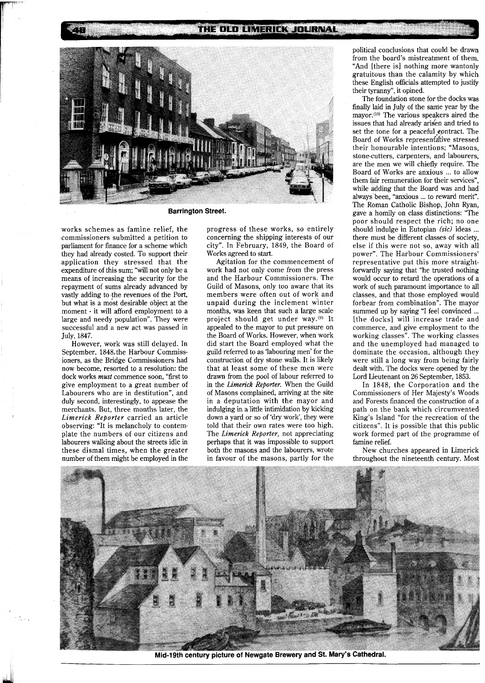## THE OLD LIMERICK JOURNAL



**Barrington Street.** 

works schemes as famine relief, the commissioners submitted a petition to parliament for finance for a scheme which they had already costed. To support their application they stressed that the expenditure of this sum; "will not only be a means of increasing the security for the repayment of sums already advanced by vastly adding to the revenues of the Port, but what is a most desirable object at the moment - it will afford employment to a large and needy population". They were successful and a new act was passed in July, 1847.

T

However, work was still delayed. In September, 1848, the Harbour Commissioners, as the Bridge Commissioners had now become, resorted to a resolution: the dock works *must* commence soon, "first to give employment to a great number of Labourers who are in destitution", and duly second, interestingly, to appease the merchants. But, three months later, the *Limerick Reporter* carried an article observing: "It is melancholy to contemplate the numbers of our citizens and labourers walking about the streets idle in these dismal times, when the greater number of them might be employed in the

progress of these works, so entirely concerning the shipping interests of our city". In February, 1849, the Board of Works agreed to start.

Agitation for the commencement of work had not only come from the press and the Harbour Commissioners. The Guild of Masons, only too aware that its members were often out of work and unpaid during the inclement winter months, was keen that such a large scale project should get under way.<sup>(9)</sup> It appealed to the mayor to put pressure on the Board of Works. However, when work did start the Board employed what the guild referred to as 'labouring men' for the construction of dry stone walls. It is likely that at least some of these men were drawn from the pool of labour referred to in the *Limerick Repoder.* When the Guild of Masons complained, arriving at the site in a deputation with the mayor and indulging in a little intimidation by kicking down a yard or so of 'dry work', they were told that their own rates were too high. The *Limerick Reporter,* not appreciating perhaps that it was impossible to support both the masons and the labourers, wrote in favour of the masons, partly for the political conclusions that could be drawn from the board's mistreatment of them. "And [there is] nothing more wantonly gratuitous than the calamity by which these English officials attempted to justify their tyranny", it opined.

The foundation stone for the docks was finally laid in July of the same year by the mayor.<sup>(10)</sup> The various speakers aired the issues that had already arisen and tried to set the tone for a peaceful contract. The Board of Works represenfdtive stressed their honourable intentions; "Masons, stone-cutters, carpenters, and labourers, are the men we will chiefly require. The Board of Works are anxious ... to allow them fair remuneration for their services", while adding that the Board was and had always been, "anxious ... to reward merit". The Roman Catholic Bishop, John Ryan, gave a homily on class distinctions: "The poor should respect the rich; no one should indulge in Eutopian *(sic)* ideas ... there must be different classes of society, else if this were not so, away with all power". The Harbour Commissioners' representative put this more straightforwardly saying that "he trusted nothing would occur to retard the operations of a work of such paramount importance to all classes, and that those employed would forbear from combination". The mayor summed up by saying "I feel convinced ... [the docks] will increase trade and commerce, and give employment to the working classes". The working classes and the unemployed had managed to dominate the occasion, although they were still a long way from being fairly dealt with. The docks were opened by the Lord Lieutenant on 26 September, 1853.

In 1848, the Corporation and the Commissioners of Her Majesty's Woods and Forests financed the construction of a path on the bank which circumvented King's Island "for the recreation of the citizens". It is possible that this public work formed part of the programme of famine relief.

New churches appeared in Limerick throughout the nineteenth century. Most



Mid-19th century picture of Newgate Brewery and St. Mary's Cathedral.